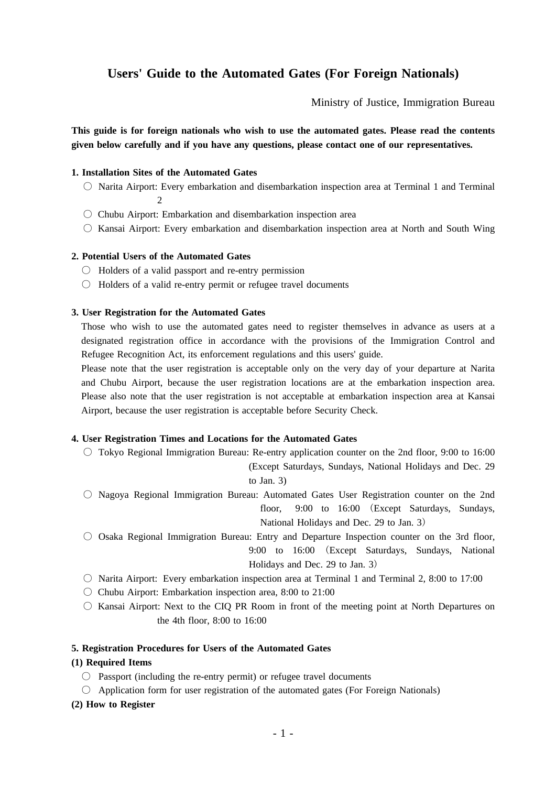# **Users' Guide to the Automated Gates (For Foreign Nationals)**

Ministry of Justice, Immigration Bureau

**This guide is for foreign nationals who wish to use the automated gates. Please read the contents given below carefully and if you have any questions, please contact one of our representatives.**

## **1. Installation Sites of the Automated Gates**

- Narita Airport: Every embarkation and disembarkation inspection area at Terminal 1 and Terminal  $\mathcal{D}$
- $\circ$  Chubu Airport: Embarkation and disembarkation inspection area
- Kansai Airport: Every embarkation and disembarkation inspection area at North and South Wing

## **2. Potential Users of the Automated Gates**

- Holders of a valid passport and re-entry permission
- Holders of a valid re-entry permit or refugee travel documents

#### **3. User Registration for the Automated Gates**

Those who wish to use the automated gates need to register themselves in advance as users at a designated registration office in accordance with the provisions of the Immigration Control and Refugee Recognition Act, its enforcement regulations and this users' guide.

Please note that the user registration is acceptable only on the very day of your departure at Narita and Chubu Airport, because the user registration locations are at the embarkation inspection area. Please also note that the user registration is not acceptable at embarkation inspection area at Kansai Airport, because the user registration is acceptable before Security Check.

#### **4. User Registration Times and Locations for the Automated Gates**

- Tokyo Regional Immigration Bureau: Re-entry application counter on the 2nd floor, 9:00 to 16:00 (Except Saturdays, Sundays, National Holidays and Dec. 29 to Jan. 3)
- Nagoya Regional Immigration Bureau: Automated Gates User Registration counter on the 2nd floor, 9:00 to 16:00 (Except Saturdays, Sundays, National Holidays and Dec. 29 to Jan. 3)
- Osaka Regional Immigration Bureau: Entry and Departure Inspection counter on the 3rd floor, 9:00 to 16:00 (Except Saturdays, Sundays, National Holidays and Dec. 29 to Jan. 3)
- $\circ$  Narita Airport: Every embarkation inspection area at Terminal 1 and Terminal 2, 8:00 to 17:00
- $\circ$  Chubu Airport: Embarkation inspection area, 8:00 to 21:00
- Kansai Airport: Next to the CIQ PR Room in front of the meeting point at North Departures on the 4th floor, 8:00 to 16:00

# **5. Registration Procedures for Users of the Automated Gates**

#### **(1) Required Items**

- $\bigcirc$  Passport (including the re-entry permit) or refugee travel documents
- $\bigcirc$  Application form for user registration of the automated gates (For Foreign Nationals)
- **(2) How to Register**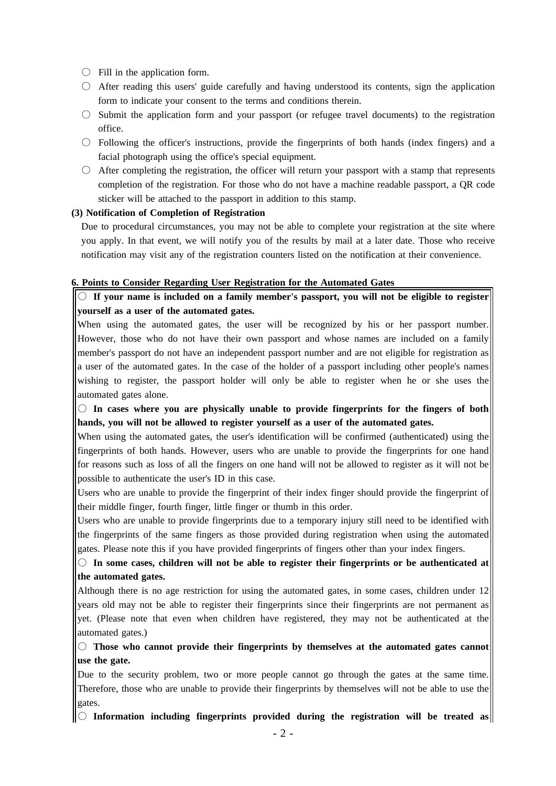- $\bigcirc$  Fill in the application form.
- After reading this users' guide carefully and having understood its contents, sign the application form to indicate your consent to the terms and conditions therein.
- Submit the application form and your passport (or refugee travel documents) to the registration office.
- Following the officer's instructions, provide the fingerprints of both hands (index fingers) and a facial photograph using the office's special equipment.
- $\circ$  After completing the registration, the officer will return your passport with a stamp that represents completion of the registration. For those who do not have a machine readable passport, a QR code sticker will be attached to the passport in addition to this stamp.

## **(3) Notification of Completion of Registration**

Due to procedural circumstances, you may not be able to complete your registration at the site where you apply. In that event, we will notify you of the results by mail at a later date. Those who receive notification may visit any of the registration counters listed on the notification at their convenience.

#### **6. Points to Consider Regarding User Registration for the Automated Gates**

○ **If your name is included on a family member's passport, you will not be eligible to register yourself as a user of the automated gates.**

When using the automated gates, the user will be recognized by his or her passport number. However, those who do not have their own passport and whose names are included on a family member's passport do not have an independent passport number and are not eligible for registration as a user of the automated gates. In the case of the holder of a passport including other people's names wishing to register, the passport holder will only be able to register when he or she uses the automated gates alone.

○ **In cases where you are physically unable to provide fingerprints for the fingers of both hands, you will not be allowed to register yourself as a user of the automated gates.**

When using the automated gates, the user's identification will be confirmed (authenticated) using the fingerprints of both hands. However, users who are unable to provide the fingerprints for one hand for reasons such as loss of all the fingers on one hand will not be allowed to register as it will not be possible to authenticate the user's ID in this case.

Users who are unable to provide the fingerprint of their index finger should provide the fingerprint of their middle finger, fourth finger, little finger or thumb in this order.

Users who are unable to provide fingerprints due to a temporary injury still need to be identified with the fingerprints of the same fingers as those provided during registration when using the automated gates. Please note this if you have provided fingerprints of fingers other than your index fingers.

○ **In some cases, children will not be able to register their fingerprints or be authenticated at the automated gates.**

Although there is no age restriction for using the automated gates, in some cases, children under 12 years old may not be able to register their fingerprints since their fingerprints are not permanent as yet. (Please note that even when children have registered, they may not be authenticated at the automated gates.)

○ **Those who cannot provide their fingerprints by themselves at the automated gates cannot use the gate.**

Due to the security problem, two or more people cannot go through the gates at the same time. Therefore, those who are unable to provide their fingerprints by themselves will not be able to use the gates.

 $\|\bigcirc\|$  Information including fingerprints provided during the registration will be treated as $\|$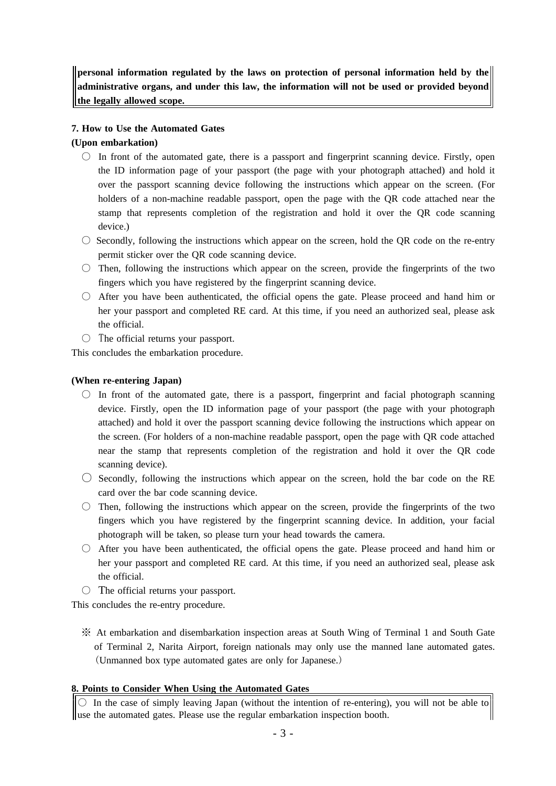**personal information regulated by the laws on protection of personal information held by the administrative organs, and under this law, the information will not be used or provided beyond the legally allowed scope.**

# **7. How to Use the Automated Gates**

# **(Upon embarkation)**

- $\circ$  In front of the automated gate, there is a passport and fingerprint scanning device. Firstly, open the ID information page of your passport (the page with your photograph attached) and hold it over the passport scanning device following the instructions which appear on the screen. (For holders of a non-machine readable passport, open the page with the QR code attached near the stamp that represents completion of the registration and hold it over the QR code scanning device.)
- $\circ$  Secondly, following the instructions which appear on the screen, hold the QR code on the re-entry permit sticker over the QR code scanning device.
- Then, following the instructions which appear on the screen, provide the fingerprints of the two fingers which you have registered by the fingerprint scanning device.
- After you have been authenticated, the official opens the gate. Please proceed and hand him or her your passport and completed RE card. At this time, if you need an authorized seal, please ask the official.
- The official returns your passport.

This concludes the embarkation procedure.

# **(When re-entering Japan)**

- $\circ$  In front of the automated gate, there is a passport, fingerprint and facial photograph scanning device. Firstly, open the ID information page of your passport (the page with your photograph attached) and hold it over the passport scanning device following the instructions which appear on the screen. (For holders of a non-machine readable passport, open the page with QR code attached near the stamp that represents completion of the registration and hold it over the QR code scanning device).
- $\circ$  Secondly, following the instructions which appear on the screen, hold the bar code on the RE card over the bar code scanning device.
- $\circ$  Then, following the instructions which appear on the screen, provide the fingerprints of the two fingers which you have registered by the fingerprint scanning device. In addition, your facial photograph will be taken, so please turn your head towards the camera.
- After you have been authenticated, the official opens the gate. Please proceed and hand him or her your passport and completed RE card. At this time, if you need an authorized seal, please ask the official.
- $\circ$  The official returns your passport.

This concludes the re-entry procedure.

※ At embarkation and disembarkation inspection areas at South Wing of Terminal 1 and South Gate of Terminal 2, Narita Airport, foreign nationals may only use the manned lane automated gates. (Unmanned box type automated gates are only for Japanese.)

# **8. Points to Consider When Using the Automated Gates**

 $\circ$  In the case of simply leaving Japan (without the intention of re-entering), you will not be able to use the automated gates. Please use the regular embarkation inspection booth.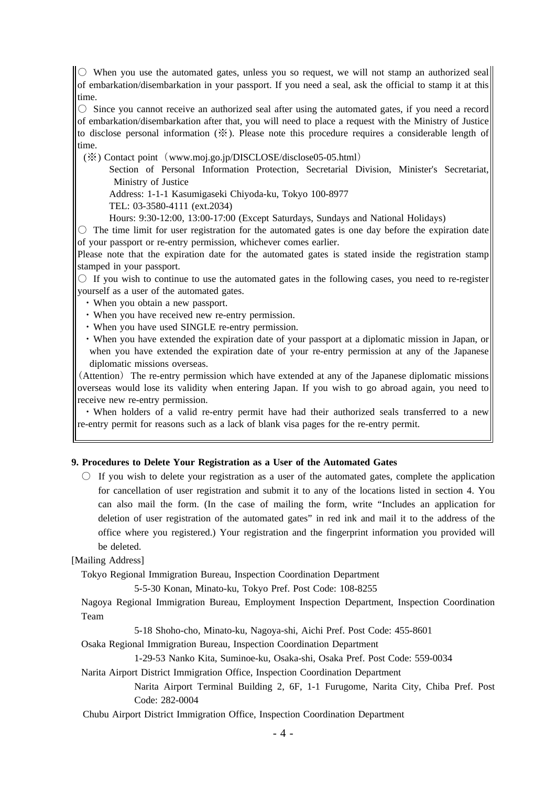$\| \circlearrowright$  When you use the automated gates, unless you so request, we will not stamp an authorized seal of embarkation/disembarkation in your passport. If you need a seal, ask the official to stamp it at this time.

 $\circ$  Since you cannot receive an authorized seal after using the automated gates, if you need a record of embarkation/disembarkation after that, you will need to place a request with the Ministry of Justice to disclose personal information (※). Please note this procedure requires a considerable length of time.

(※) Contact point (www.moj.go.jp/DISCLOSE/disclose05-05.html)

Section of Personal Information Protection, Secretarial Division, Minister's Secretariat, Ministry of Justice

Address: 1-1-1 Kasumigaseki Chiyoda-ku, Tokyo 100-8977

TEL: 03-3580-4111 (ext.2034)

Hours: 9:30-12:00, 13:00-17:00 (Except Saturdays, Sundays and National Holidays)

○ The time limit for user registration for the automated gates is one day before the expiration date of your passport or re-entry permission, whichever comes earlier.

Please note that the expiration date for the automated gates is stated inside the registration stamp stamped in your passport.

 $\circ$  If you wish to continue to use the automated gates in the following cases, you need to re-register yourself as a user of the automated gates.

- ・When you obtain a new passport.
- ・When you have received new re-entry permission.
- ・When you have used SINGLE re-entry permission.
- ・When you have extended the expiration date of your passport at a diplomatic mission in Japan, or when you have extended the expiration date of your re-entry permission at any of the Japanese diplomatic missions overseas.

(Attention) The re-entry permission which have extended at any of the Japanese diplomatic missions overseas would lose its validity when entering Japan. If you wish to go abroad again, you need to receive new re-entry permission.

・When holders of a valid re-entry permit have had their authorized seals transferred to a new re-entry permit for reasons such as a lack of blank visa pages for the re-entry permit.

## **9. Procedures to Delete Your Registration as a User of the Automated Gates**

 $\circ$  If you wish to delete your registration as a user of the automated gates, complete the application for cancellation of user registration and submit it to any of the locations listed in section 4. You can also mail the form. (In the case of mailing the form, write "Includes an application for deletion of user registration of the automated gates" in red ink and mail it to the address of the office where you registered.) Your registration and the fingerprint information you provided will be deleted.

[Mailing Address]

Tokyo Regional Immigration Bureau, Inspection Coordination Department

5-5-30 Konan, Minato-ku, Tokyo Pref. Post Code: 108-8255

Nagoya Regional Immigration Bureau, Employment Inspection Department, Inspection Coordination Team

5-18 Shoho-cho, Minato-ku, Nagoya-shi, Aichi Pref. Post Code: 455-8601

Osaka Regional Immigration Bureau, Inspection Coordination Department

1-29-53 Nanko Kita, Suminoe-ku, Osaka-shi, Osaka Pref. Post Code: 559-0034

Narita Airport District Immigration Office, Inspection Coordination Department

Narita Airport Terminal Building 2, 6F, 1-1 Furugome, Narita City, Chiba Pref. Post Code: 282-0004

Chubu Airport District Immigration Office, Inspection Coordination Department